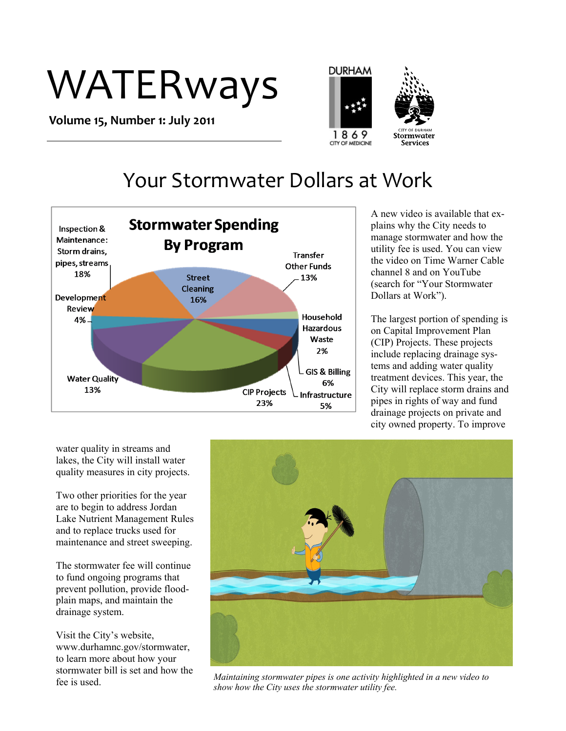# WATERways

**Volume 15, Number 1: July 2011**





**Services** 

# Your Stormwater Dollars at Work



A new video is available that explains why the City needs to manage stormwater and how the utility fee is used. You can view the video on Time Warner Cable channel 8 and on YouTube (search for "Your Stormwater Dollars at Work").

The largest portion of spending is on Capital Improvement Plan (CIP) Projects. These projects include replacing drainage systems and adding water quality treatment devices. This year, the City will replace storm drains and pipes in rights of way and fund drainage projects on private and city owned property. To improve

water quality in streams and lakes, the City will install water quality measures in city projects.

Two other priorities for the year are to begin to address Jordan Lake Nutrient Management Rules and to replace trucks used for maintenance and street sweeping.

The stormwater fee will continue to fund ongoing programs that prevent pollution, provide floodplain maps, and maintain the drainage system.

Visit the City's website, www.durhamnc.gov/stormwater, to learn more about how your stormwater bill is set and how the fee is used.



*Maintaining stormwater pipes is one activity highlighted in a new video to show how the City uses the stormwater utility fee.*